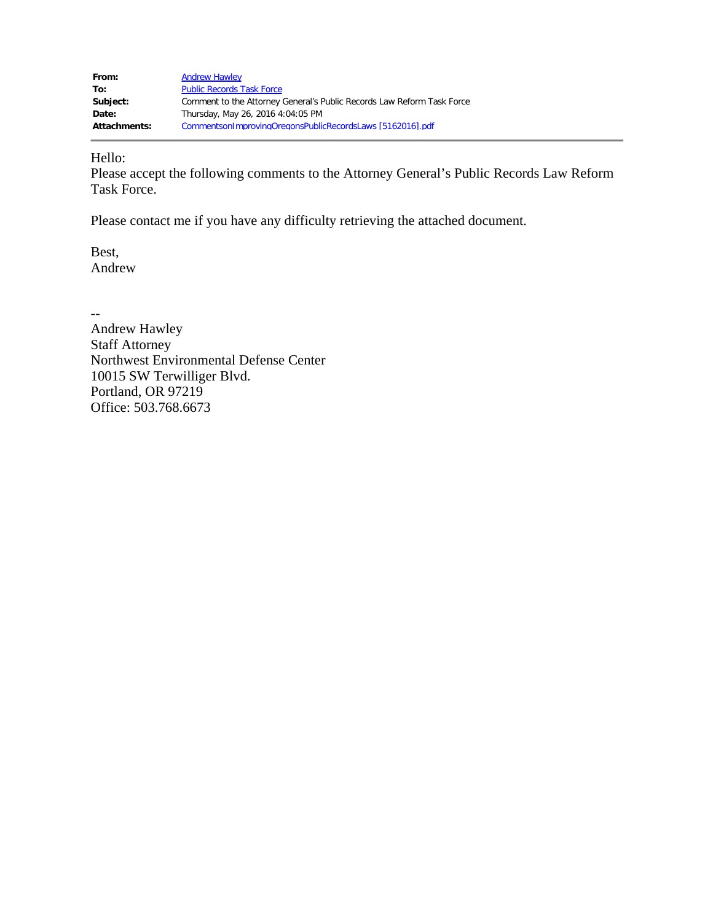| From:        | <b>Andrew Hawley</b>                                                   |
|--------------|------------------------------------------------------------------------|
| To:          | <b>Public Records Task Force</b>                                       |
| Subject:     | Comment to the Attorney General's Public Records Law Reform Task Force |
| Date:        | Thursday, May 26, 2016 4:04:05 PM                                      |
| Attachments: | Commentson1mprovingOregonsPublicRecordsLaws [5162016].pdf              |

Hello:

Please accept the following comments to the Attorney General's Public Records Law Reform Task Force.

Please contact me if you have any difficulty retrieving the attached document.

Best, Andrew

-- Andrew Hawley Staff Attorney Northwest Environmental Defense Center 10015 SW Terwilliger Blvd. Portland, OR 97219 Office: 503.768.6673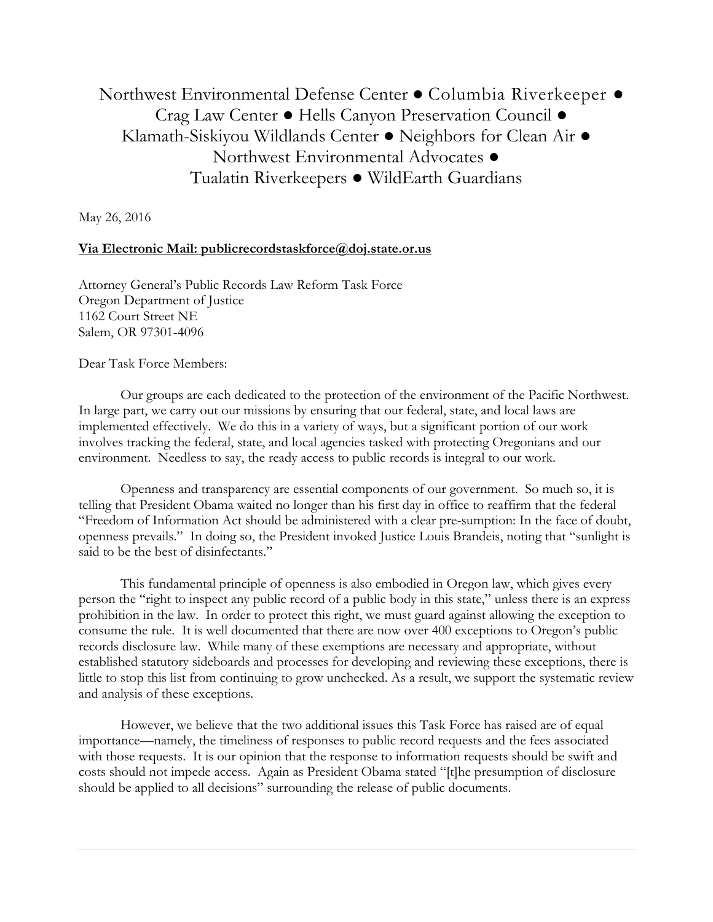Northwest Environmental Defense Center ● Columbia Riverkeeper ● Crag Law Center ● Hells Canyon Preservation Council ● Klamath-Siskiyou Wildlands Center ● Neighbors for Clean Air ● Northwest Environmental Advocates ● Tualatin Riverkeepers ● WildEarth Guardians

May 26, 2016

## **Via Electronic Mail: publicrecordstaskforce@doj.state.or.us**

Attorney General's Public Records Law Reform Task Force Oregon Department of Justice 1162 Court Street NE Salem, OR 97301-4096

Dear Task Force Members:

Our groups are each dedicated to the protection of the environment of the Pacific Northwest. In large part, we carry out our missions by ensuring that our federal, state, and local laws are implemented effectively. We do this in a variety of ways, but a significant portion of our work involves tracking the federal, state, and local agencies tasked with protecting Oregonians and our environment. Needless to say, the ready access to public records is integral to our work.

Openness and transparency are essential components of our government. So much so, it is telling that President Obama waited no longer than his first day in office to reaffirm that the federal "Freedom of Information Act should be administered with a clear pre-sumption: In the face of doubt, openness prevails." In doing so, the President invoked Justice Louis Brandeis, noting that "sunlight is said to be the best of disinfectants."

This fundamental principle of openness is also embodied in Oregon law, which gives every person the "right to inspect any public record of a public body in this state," unless there is an express prohibition in the law. In order to protect this right, we must guard against allowing the exception to consume the rule. It is well documented that there are now over 400 exceptions to Oregon's public records disclosure law. While many of these exemptions are necessary and appropriate, without established statutory sideboards and processes for developing and reviewing these exceptions, there is little to stop this list from continuing to grow unchecked. As a result, we support the systematic review and analysis of these exceptions.

 However, we believe that the two additional issues this Task Force has raised are of equal importance—namely, the timeliness of responses to public record requests and the fees associated with those requests. It is our opinion that the response to information requests should be swift and costs should not impede access. Again as President Obama stated "[t]he presumption of disclosure should be applied to all decisions" surrounding the release of public documents.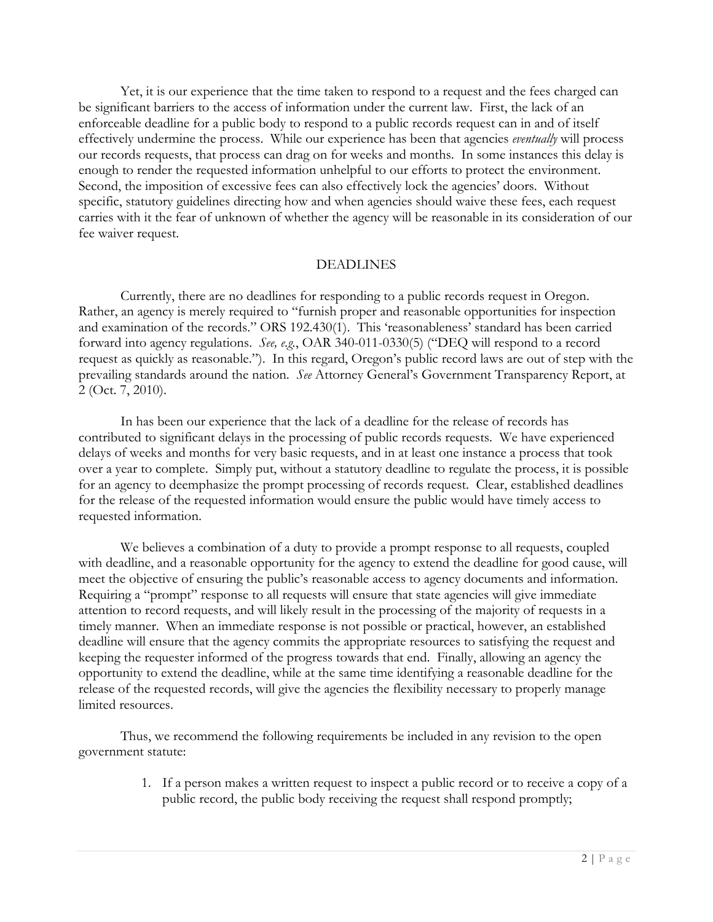Yet, it is our experience that the time taken to respond to a request and the fees charged can be significant barriers to the access of information under the current law. First, the lack of an enforceable deadline for a public body to respond to a public records request can in and of itself effectively undermine the process. While our experience has been that agencies *eventually* will process our records requests, that process can drag on for weeks and months. In some instances this delay is enough to render the requested information unhelpful to our efforts to protect the environment. Second, the imposition of excessive fees can also effectively lock the agencies' doors. Without specific, statutory guidelines directing how and when agencies should waive these fees, each request carries with it the fear of unknown of whether the agency will be reasonable in its consideration of our fee waiver request.

## DEADLINES

Currently, there are no deadlines for responding to a public records request in Oregon. Rather, an agency is merely required to "furnish proper and reasonable opportunities for inspection and examination of the records." ORS 192.430(1). This 'reasonableness' standard has been carried forward into agency regulations. *See, e.g.*, OAR 340-011-0330(5) ("DEQ will respond to a record request as quickly as reasonable."). In this regard, Oregon's public record laws are out of step with the prevailing standards around the nation. *See* Attorney General's Government Transparency Report, at 2 (Oct. 7, 2010).

In has been our experience that the lack of a deadline for the release of records has contributed to significant delays in the processing of public records requests. We have experienced delays of weeks and months for very basic requests, and in at least one instance a process that took over a year to complete. Simply put, without a statutory deadline to regulate the process, it is possible for an agency to deemphasize the prompt processing of records request. Clear, established deadlines for the release of the requested information would ensure the public would have timely access to requested information.

We believes a combination of a duty to provide a prompt response to all requests, coupled with deadline, and a reasonable opportunity for the agency to extend the deadline for good cause, will meet the objective of ensuring the public's reasonable access to agency documents and information. Requiring a "prompt" response to all requests will ensure that state agencies will give immediate attention to record requests, and will likely result in the processing of the majority of requests in a timely manner. When an immediate response is not possible or practical, however, an established deadline will ensure that the agency commits the appropriate resources to satisfying the request and keeping the requester informed of the progress towards that end. Finally, allowing an agency the opportunity to extend the deadline, while at the same time identifying a reasonable deadline for the release of the requested records, will give the agencies the flexibility necessary to properly manage limited resources.

Thus, we recommend the following requirements be included in any revision to the open government statute:

> 1. If a person makes a written request to inspect a public record or to receive a copy of a public record, the public body receiving the request shall respond promptly;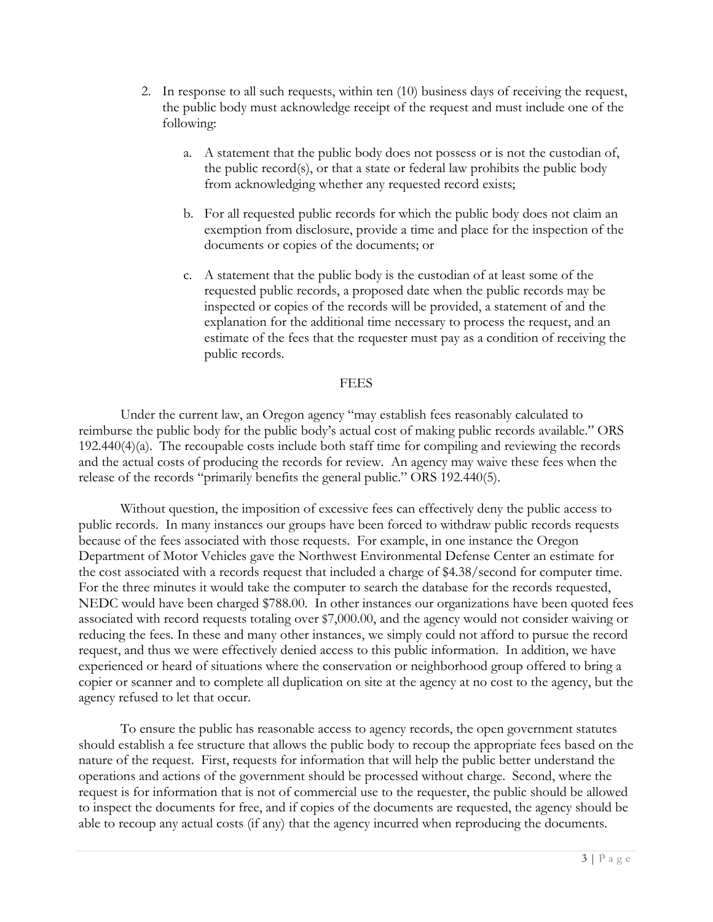- 2. In response to all such requests, within ten (10) business days of receiving the request, the public body must acknowledge receipt of the request and must include one of the following:
	- a. A statement that the public body does not possess or is not the custodian of, the public record(s), or that a state or federal law prohibits the public body from acknowledging whether any requested record exists;
	- b. For all requested public records for which the public body does not claim an exemption from disclosure, provide a time and place for the inspection of the documents or copies of the documents; or
	- c. A statement that the public body is the custodian of at least some of the requested public records, a proposed date when the public records may be inspected or copies of the records will be provided, a statement of and the explanation for the additional time necessary to process the request, and an estimate of the fees that the requester must pay as a condition of receiving the public records.

## FEES

Under the current law, an Oregon agency "may establish fees reasonably calculated to reimburse the public body for the public body's actual cost of making public records available." ORS 192.440(4)(a). The recoupable costs include both staff time for compiling and reviewing the records and the actual costs of producing the records for review. An agency may waive these fees when the release of the records "primarily benefits the general public." ORS 192.440(5).

Without question, the imposition of excessive fees can effectively deny the public access to public records. In many instances our groups have been forced to withdraw public records requests because of the fees associated with those requests. For example, in one instance the Oregon Department of Motor Vehicles gave the Northwest Environmental Defense Center an estimate for the cost associated with a records request that included a charge of \$4.38/second for computer time. For the three minutes it would take the computer to search the database for the records requested, NEDC would have been charged \$788.00. In other instances our organizations have been quoted fees associated with record requests totaling over \$7,000.00, and the agency would not consider waiving or reducing the fees. In these and many other instances, we simply could not afford to pursue the record request, and thus we were effectively denied access to this public information. In addition, we have experienced or heard of situations where the conservation or neighborhood group offered to bring a copier or scanner and to complete all duplication on site at the agency at no cost to the agency, but the agency refused to let that occur.

To ensure the public has reasonable access to agency records, the open government statutes should establish a fee structure that allows the public body to recoup the appropriate fees based on the nature of the request. First, requests for information that will help the public better understand the operations and actions of the government should be processed without charge. Second, where the request is for information that is not of commercial use to the requester, the public should be allowed to inspect the documents for free, and if copies of the documents are requested, the agency should be able to recoup any actual costs (if any) that the agency incurred when reproducing the documents.